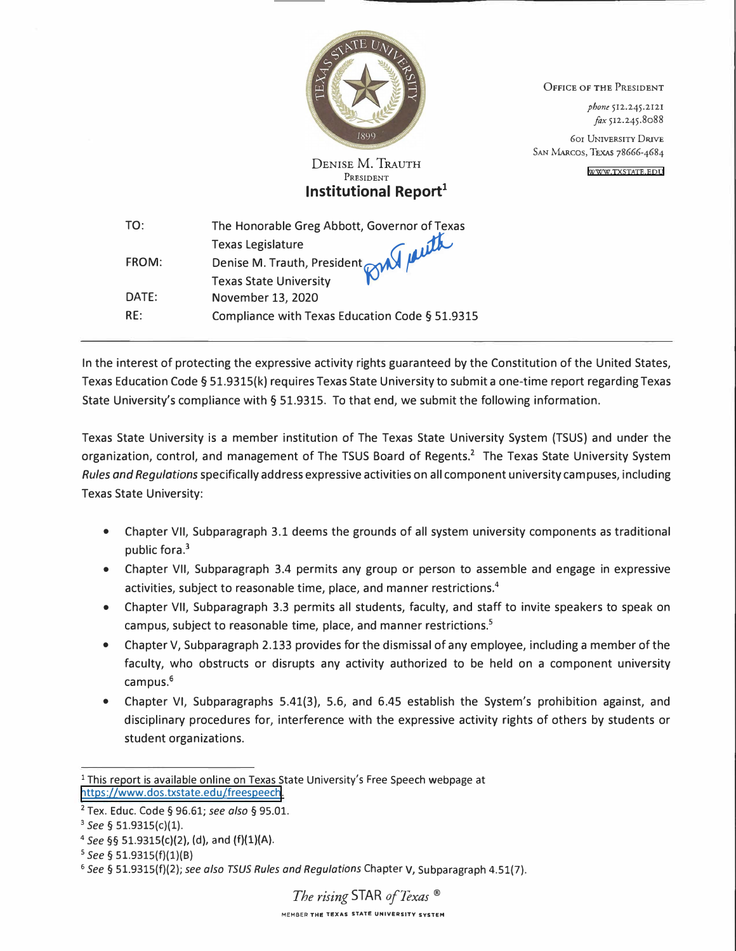

**DENISE** M. **TRAUTH**  PRESIDENT **Institutional Report<sup>1</sup>** OFFICE OF THE PRESIDENT

*phone* 512.245.2121 *fox* 512.245.8088

601 UNIVERSITY DRIVE SAN MARcos, TEXAS 78666-4684

[WWW.TXSTATE.EDU](www.txstate.edu)

| TO:   | The Honorable Greg Abbott, Governor of Texas   |
|-------|------------------------------------------------|
|       |                                                |
| FROM: | Denise M. Trauth, President <b>CAN PLUTA</b>   |
|       |                                                |
| DATE: | November 13, 2020                              |
| RF:   | Compliance with Texas Education Code § 51.9315 |

In the interest of protecting the expressive activity rights guaranteed by the Constitution of the United States, Texas Education Code§ 51.9315(k) requires Texas State University to submit a one-time report regarding Texas State University's compliance with § 51.9315. To that end, we submit the following information.

Texas State University is a member institution of The Texas State University System (TSUS) and under the organization, control, and management of The TSUS Board of Regents.<sup>2</sup> The Texas State University System *Rules and Regulations* specifically address expressive activities on all component university campuses, including Texas State University:

- Chapter VII, Subparagraph 3.1 deems the grounds of all system university components as traditional public fora.<sup>3</sup>
- Chapter VII, Subparagraph 3.4 permits any group or person to assemble and engage in expressive activities, subject to reasonable time, place, and manner restrictions.**<sup>4</sup>**
- Chapter VII, Subparagraph 3.3 permits all students, faculty, and staff to invite speakers to speak on campus, subject to reasonable time, place, and manner restrictions.<sup>5</sup>
- Chapter V, Subparagraph 2.133 provides for the dismissal of any employee, including a member of the faculty, who obstructs or disrupts any activity authorized to be held on a component university campus.<sup>6</sup>
- Chapter VI, Subparagraphs 5.41(3}, 5.6, and 6.45 establish the System's prohibition against, and disciplinary procedures for, interference with the expressive activity rights of others by students or student organizations.

<sup>&</sup>lt;sup>1</sup> This report is available online on Texas State University's Free Speech webpage at https://www.dos.txstate.edu/freespeech.

<sup>2</sup> Tex. Educ. Code§ 96.61; *see also* § 95.01.

<sup>3</sup>*See§* 51.9315(c)(l).

<sup>&</sup>lt;sup>4</sup> See §§ 51.9315(c)(2), (d), and (f)(1)(A).

<sup>5</sup> *See§* 51.9315(f)(l)(B)

<sup>6</sup>*See§* 51.9315(f)(2); *see also TSUS Rules and Regulations* Chapter V, Subparagraph 4.51(7).